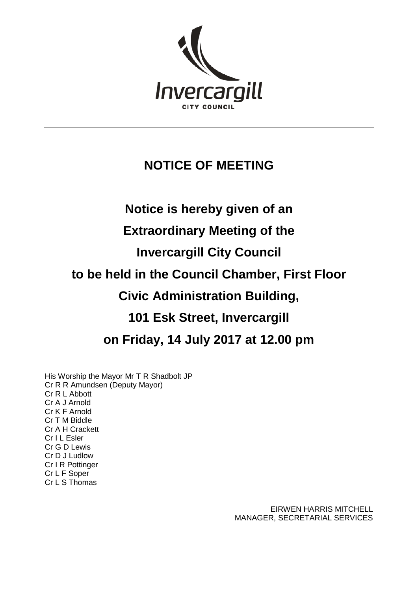

#### **NOTICE OF MEETING**

# **Notice is hereby given of an**

#### **Extraordinary Meeting of the**

## **Invercargill City Council**

### **to be held in the Council Chamber, First Floor**

#### **Civic Administration Building,**

### **101 Esk Street, Invercargill**

#### **on Friday, 14 July 2017 at 12.00 pm**

His Worship the Mayor Mr T R Shadbolt JP Cr R R Amundsen (Deputy Mayor) Cr R L Abbott Cr A J Arnold Cr K F Arnold Cr T M Biddle Cr A H Crackett Cr I L Esler Cr G D Lewis Cr D J Ludlow Cr I R Pottinger Cr L F Soper Cr L S Thomas

> EIRWEN HARRIS MITCHELL MANAGER, SECRETARIAL SERVICES